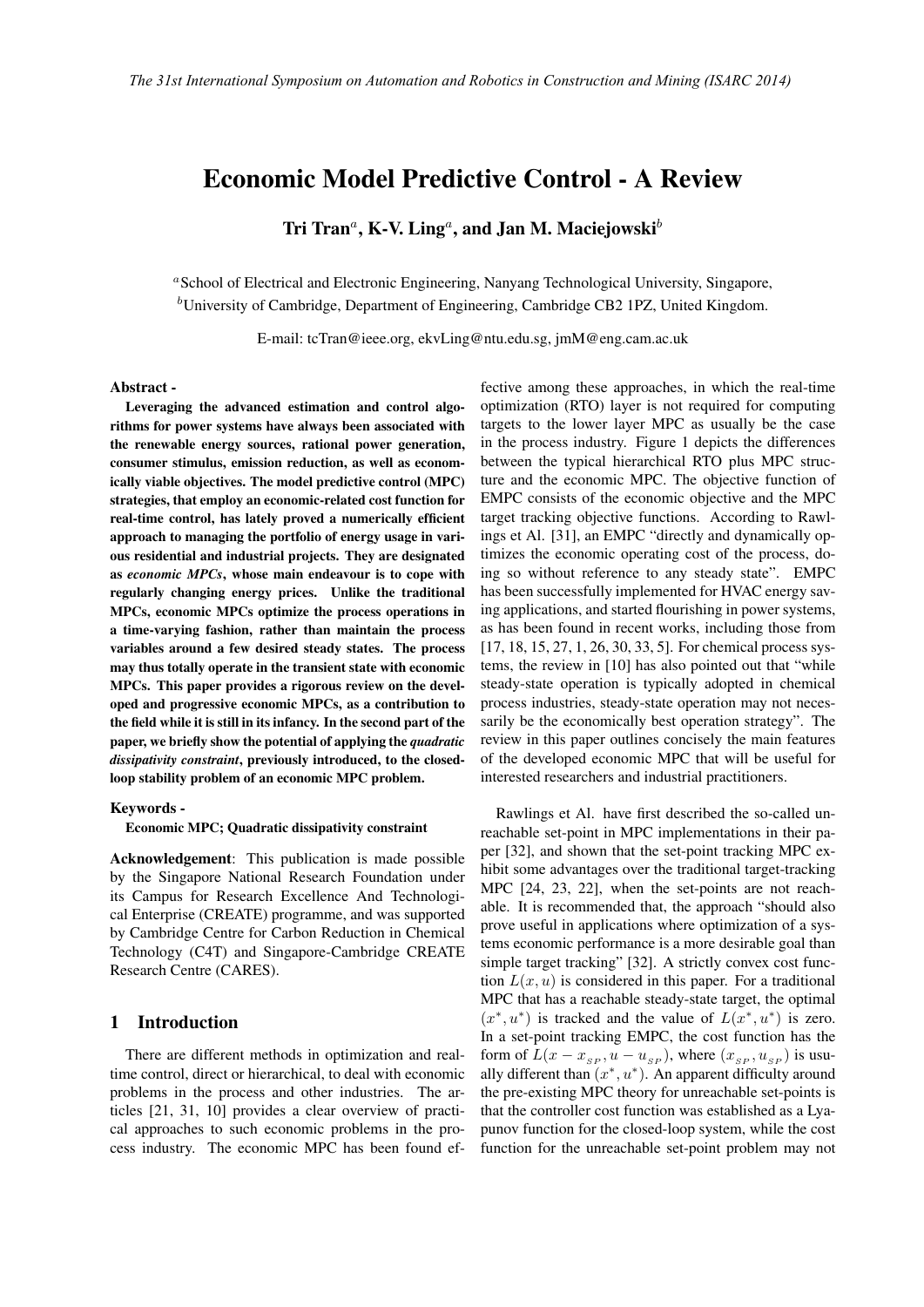# Economic Model Predictive Control - A Review

Tri Tran*<sup>a</sup>* , K-V. Ling*<sup>a</sup>* , and Jan M. Maciejowski*<sup>b</sup>*

*<sup>a</sup>*School of Electrical and Electronic Engineering, Nanyang Technological University, Singapore, *<sup>b</sup>*University of Cambridge, Department of Engineering, Cambridge CB2 1PZ, United Kingdom.

E-mail: tcTran@ieee.org, ekvLing@ntu.edu.sg, jmM@eng.cam.ac.uk

#### Abstract -

Leveraging the advanced estimation and control algorithms for power systems have always been associated with the renewable energy sources, rational power generation, consumer stimulus, emission reduction, as well as economically viable objectives. The model predictive control (MPC) strategies, that employ an economic-related cost function for real-time control, has lately proved a numerically efficient approach to managing the portfolio of energy usage in various residential and industrial projects. They are designated as *economic MPCs*, whose main endeavour is to cope with regularly changing energy prices. Unlike the traditional MPCs, economic MPCs optimize the process operations in a time-varying fashion, rather than maintain the process variables around a few desired steady states. The process may thus totally operate in the transient state with economic MPCs. This paper provides a rigorous review on the developed and progressive economic MPCs, as a contribution to the field while it is still in its infancy. In the second part of the paper, we briefly show the potential of applying the *quadratic dissipativity constraint*, previously introduced, to the closedloop stability problem of an economic MPC problem.

#### Keywords -

Economic MPC; Quadratic dissipativity constraint

Acknowledgement: This publication is made possible by the Singapore National Research Foundation under its Campus for Research Excellence And Technological Enterprise (CREATE) programme, and was supported by Cambridge Centre for Carbon Reduction in Chemical Technology (C4T) and Singapore-Cambridge CREATE Research Centre (CARES).

### 1 Introduction

There are different methods in optimization and realtime control, direct or hierarchical, to deal with economic problems in the process and other industries. The articles [21, 31, 10] provides a clear overview of practical approaches to such economic problems in the process industry. The economic MPC has been found ef-

fective among these approaches, in which the real-time optimization (RTO) layer is not required for computing targets to the lower layer MPC as usually be the case in the process industry. Figure 1 depicts the differences between the typical hierarchical RTO plus MPC structure and the economic MPC. The objective function of EMPC consists of the economic objective and the MPC target tracking objective functions. According to Rawlings et Al. [31], an EMPC "directly and dynamically optimizes the economic operating cost of the process, doing so without reference to any steady state". EMPC has been successfully implemented for HVAC energy saving applications, and started flourishing in power systems, as has been found in recent works, including those from [17, 18, 15, 27, 1, 26, 30, 33, 5]. For chemical process systems, the review in [10] has also pointed out that "while steady-state operation is typically adopted in chemical process industries, steady-state operation may not necessarily be the economically best operation strategy". The review in this paper outlines concisely the main features of the developed economic MPC that will be useful for interested researchers and industrial practitioners.

Rawlings et Al. have first described the so-called unreachable set-point in MPC implementations in their paper [32], and shown that the set-point tracking MPC exhibit some advantages over the traditional target-tracking MPC [24, 23, 22], when the set-points are not reachable. It is recommended that, the approach "should also prove useful in applications where optimization of a systems economic performance is a more desirable goal than simple target tracking" [32]. A strictly convex cost function  $L(x, u)$  is considered in this paper. For a traditional MPC that has a reachable steady-state target, the optimal  $(x^*, u^*)$  is tracked and the value of  $L(x^*, u^*)$  is zero. In a set-point tracking EMPC, the cost function has the form of  $L(x - x_{SP}, u - u_{SP})$ , where  $(x_{SP}, u_{SP})$  is usually different than  $(x^*, u^*)$ . An apparent difficulty around the pre-existing MPC theory for unreachable set-points is that the controller cost function was established as a Lyapunov function for the closed-loop system, while the cost function for the unreachable set-point problem may not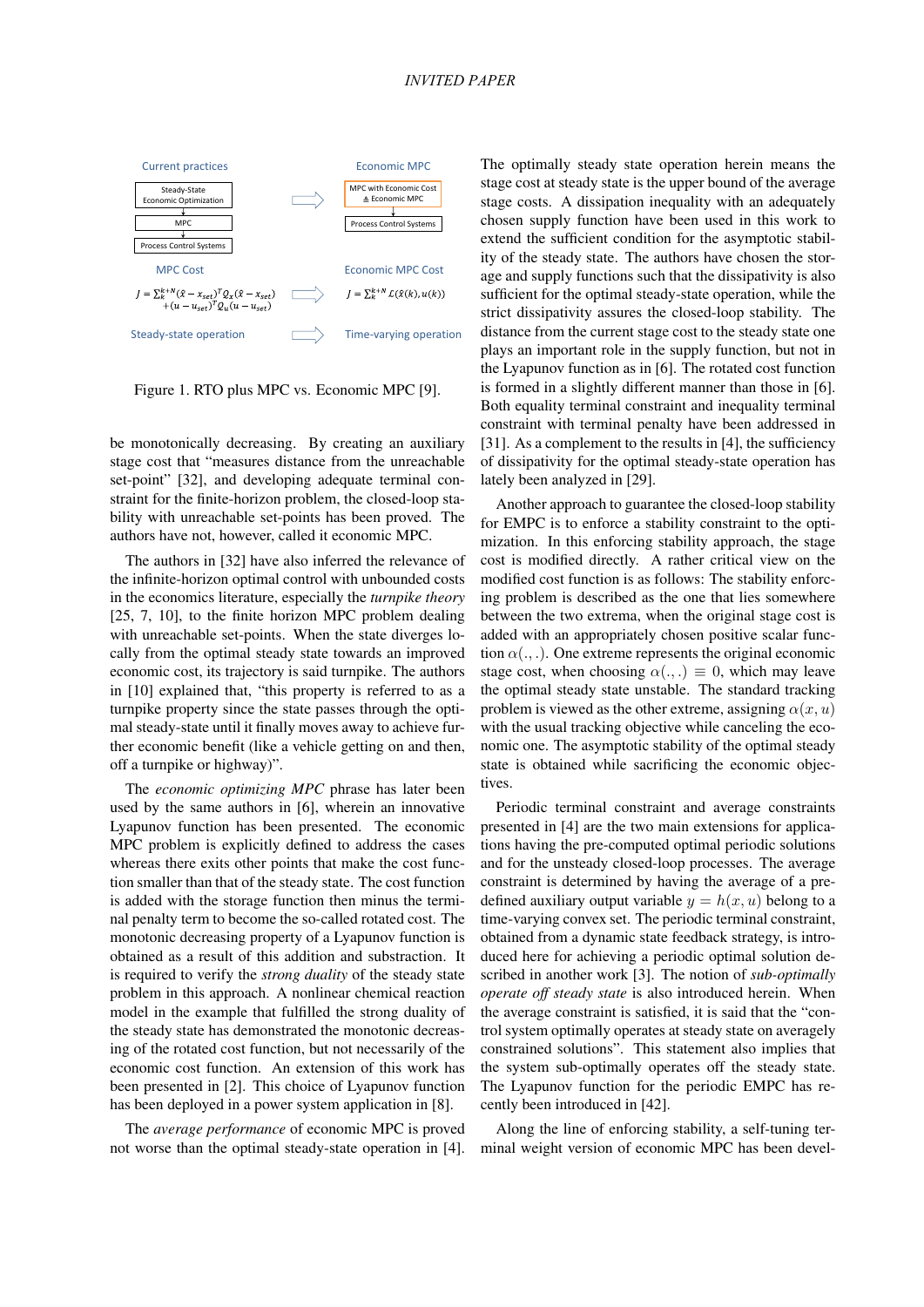

Figure 1. RTO plus MPC vs. Economic MPC [9].

be monotonically decreasing. By creating an auxiliary stage cost that "measures distance from the unreachable set-point" [32], and developing adequate terminal constraint for the finite-horizon problem, the closed-loop stability with unreachable set-points has been proved. The authors have not, however, called it economic MPC.

The authors in [32] have also inferred the relevance of the infinite-horizon optimal control with unbounded costs in the economics literature, especially the *turnpike theory* [25, 7, 10], to the finite horizon MPC problem dealing with unreachable set-points. When the state diverges locally from the optimal steady state towards an improved economic cost, its trajectory is said turnpike. The authors in [10] explained that, "this property is referred to as a turnpike property since the state passes through the optimal steady-state until it finally moves away to achieve further economic benefit (like a vehicle getting on and then, off a turnpike or highway)".

The *economic optimizing MPC* phrase has later been used by the same authors in [6], wherein an innovative Lyapunov function has been presented. The economic MPC problem is explicitly defined to address the cases whereas there exits other points that make the cost function smaller than that of the steady state. The cost function is added with the storage function then minus the terminal penalty term to become the so-called rotated cost. The monotonic decreasing property of a Lyapunov function is obtained as a result of this addition and substraction. It is required to verify the *strong duality* of the steady state problem in this approach. A nonlinear chemical reaction model in the example that fulfilled the strong duality of the steady state has demonstrated the monotonic decreasing of the rotated cost function, but not necessarily of the economic cost function. An extension of this work has been presented in [2]. This choice of Lyapunov function has been deployed in a power system application in [8].

The *average performance* of economic MPC is proved not worse than the optimal steady-state operation in [4]. The optimally steady state operation herein means the stage cost at steady state is the upper bound of the average stage costs. A dissipation inequality with an adequately chosen supply function have been used in this work to extend the sufficient condition for the asymptotic stability of the steady state. The authors have chosen the storage and supply functions such that the dissipativity is also sufficient for the optimal steady-state operation, while the strict dissipativity assures the closed-loop stability. The distance from the current stage cost to the steady state one plays an important role in the supply function, but not in the Lyapunov function as in [6]. The rotated cost function is formed in a slightly different manner than those in [6]. Both equality terminal constraint and inequality terminal constraint with terminal penalty have been addressed in [31]. As a complement to the results in [4], the sufficiency of dissipativity for the optimal steady-state operation has lately been analyzed in [29].

Another approach to guarantee the closed-loop stability for EMPC is to enforce a stability constraint to the optimization. In this enforcing stability approach, the stage cost is modified directly. A rather critical view on the modified cost function is as follows: The stability enforcing problem is described as the one that lies somewhere between the two extrema, when the original stage cost is added with an appropriately chosen positive scalar function  $\alpha$ (...). One extreme represents the original economic stage cost, when choosing  $\alpha(.,.) \equiv 0$ , which may leave the optimal steady state unstable. The standard tracking problem is viewed as the other extreme, assigning  $\alpha(x, u)$ with the usual tracking objective while canceling the economic one. The asymptotic stability of the optimal steady state is obtained while sacrificing the economic objectives.

Periodic terminal constraint and average constraints presented in [4] are the two main extensions for applications having the pre-computed optimal periodic solutions and for the unsteady closed-loop processes. The average constraint is determined by having the average of a predefined auxiliary output variable  $y = h(x, u)$  belong to a time-varying convex set. The periodic terminal constraint, obtained from a dynamic state feedback strategy, is introduced here for achieving a periodic optimal solution described in another work [3]. The notion of *sub-optimally operate off steady state* is also introduced herein. When the average constraint is satisfied, it is said that the "control system optimally operates at steady state on averagely constrained solutions". This statement also implies that the system sub-optimally operates off the steady state. The Lyapunov function for the periodic EMPC has recently been introduced in [42].

Along the line of enforcing stability, a self-tuning terminal weight version of economic MPC has been devel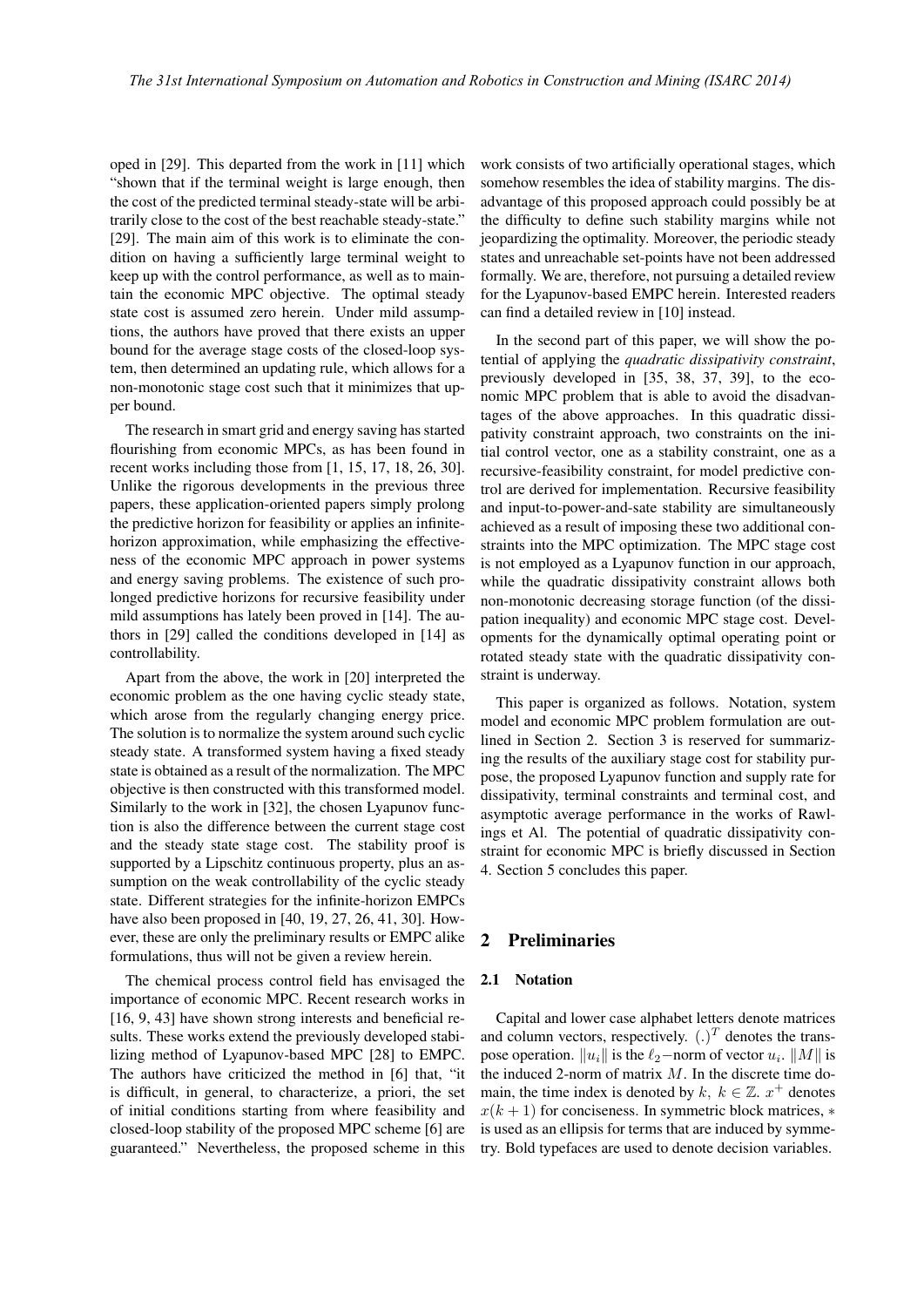oped in [29]. This departed from the work in [11] which "shown that if the terminal weight is large enough, then the cost of the predicted terminal steady-state will be arbitrarily close to the cost of the best reachable steady-state." [29]. The main aim of this work is to eliminate the condition on having a sufficiently large terminal weight to keep up with the control performance, as well as to maintain the economic MPC objective. The optimal steady state cost is assumed zero herein. Under mild assumptions, the authors have proved that there exists an upper bound for the average stage costs of the closed-loop system, then determined an updating rule, which allows for a non-monotonic stage cost such that it minimizes that upper bound.

The research in smart grid and energy saving has started flourishing from economic MPCs, as has been found in recent works including those from [1, 15, 17, 18, 26, 30]. Unlike the rigorous developments in the previous three papers, these application-oriented papers simply prolong the predictive horizon for feasibility or applies an infinitehorizon approximation, while emphasizing the effectiveness of the economic MPC approach in power systems and energy saving problems. The existence of such prolonged predictive horizons for recursive feasibility under mild assumptions has lately been proved in [14]. The authors in [29] called the conditions developed in [14] as controllability.

Apart from the above, the work in [20] interpreted the economic problem as the one having cyclic steady state, which arose from the regularly changing energy price. The solution is to normalize the system around such cyclic steady state. A transformed system having a fixed steady state is obtained as a result of the normalization. The MPC objective is then constructed with this transformed model. Similarly to the work in [32], the chosen Lyapunov function is also the difference between the current stage cost and the steady state stage cost. The stability proof is supported by a Lipschitz continuous property, plus an assumption on the weak controllability of the cyclic steady state. Different strategies for the infinite-horizon EMPCs have also been proposed in [40, 19, 27, 26, 41, 30]. However, these are only the preliminary results or EMPC alike formulations, thus will not be given a review herein.

The chemical process control field has envisaged the importance of economic MPC. Recent research works in [16, 9, 43] have shown strong interests and beneficial results. These works extend the previously developed stabilizing method of Lyapunov-based MPC [28] to EMPC. The authors have criticized the method in [6] that, "it is difficult, in general, to characterize, a priori, the set of initial conditions starting from where feasibility and closed-loop stability of the proposed MPC scheme [6] are guaranteed." Nevertheless, the proposed scheme in this

work consists of two artificially operational stages, which somehow resembles the idea of stability margins. The disadvantage of this proposed approach could possibly be at the difficulty to define such stability margins while not jeopardizing the optimality. Moreover, the periodic steady states and unreachable set-points have not been addressed formally. We are, therefore, not pursuing a detailed review for the Lyapunov-based EMPC herein. Interested readers can find a detailed review in [10] instead.

In the second part of this paper, we will show the potential of applying the *quadratic dissipativity constraint*, previously developed in [35, 38, 37, 39], to the economic MPC problem that is able to avoid the disadvantages of the above approaches. In this quadratic dissipativity constraint approach, two constraints on the initial control vector, one as a stability constraint, one as a recursive-feasibility constraint, for model predictive control are derived for implementation. Recursive feasibility and input-to-power-and-sate stability are simultaneously achieved as a result of imposing these two additional constraints into the MPC optimization. The MPC stage cost is not employed as a Lyapunov function in our approach, while the quadratic dissipativity constraint allows both non-monotonic decreasing storage function (of the dissipation inequality) and economic MPC stage cost. Developments for the dynamically optimal operating point or rotated steady state with the quadratic dissipativity constraint is underway.

This paper is organized as follows. Notation, system model and economic MPC problem formulation are outlined in Section 2. Section 3 is reserved for summarizing the results of the auxiliary stage cost for stability purpose, the proposed Lyapunov function and supply rate for dissipativity, terminal constraints and terminal cost, and asymptotic average performance in the works of Rawlings et Al. The potential of quadratic dissipativity constraint for economic MPC is briefly discussed in Section 4. Section 5 concludes this paper.

# 2 Preliminaries

#### 2.1 Notation

Capital and lower case alphabet letters denote matrices and column vectors, respectively.  $(.)^T$  denotes the transpose operation.  $||u_i||$  is the  $\ell_2$ −norm of vector  $u_i$ .  $||M||$  is the induced 2-norm of matrix *M*. In the discrete time domain, the time index is denoted by  $k, k \in \mathbb{Z}$ .  $x^+$  denotes *x*(*k* + 1) for conciseness. In symmetric block matrices, *∗* is used as an ellipsis for terms that are induced by symmetry. Bold typefaces are used to denote decision variables.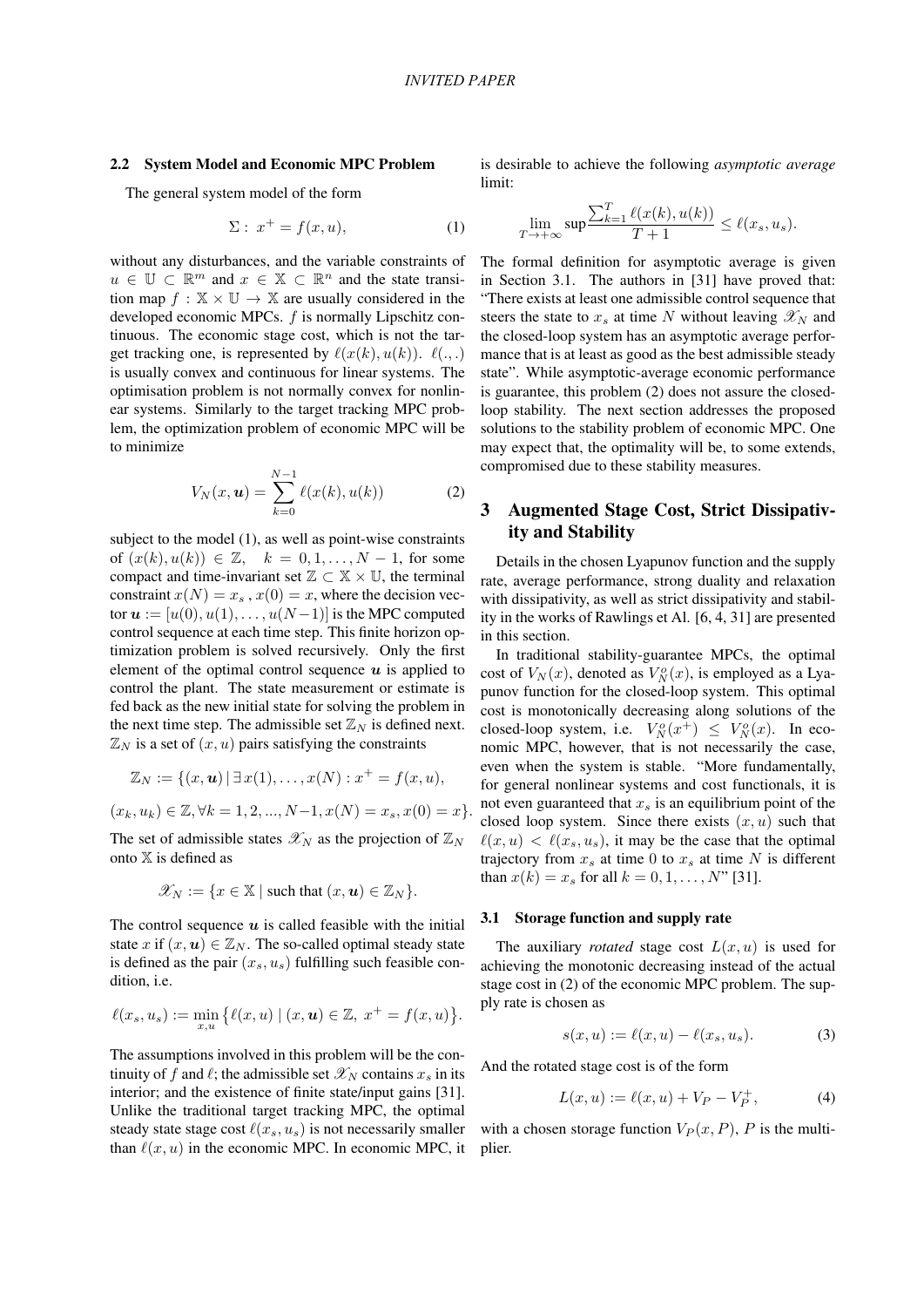#### 2.2 System Model and Economic MPC Problem

The general system model of the form

$$
\Sigma: x^+ = f(x, u), \tag{1}
$$

without any disturbances, and the variable constraints of  $u \in \mathbb{U} \subset \mathbb{R}^m$  and  $x \in \mathbb{X} \subset \mathbb{R}^n$  and the state transition map  $f : \mathbb{X} \times \mathbb{U} \rightarrow \mathbb{X}$  are usually considered in the developed economic MPCs. *f* is normally Lipschitz continuous. The economic stage cost, which is not the target tracking one, is represented by  $\ell(x(k), u(k))$ .  $\ell(., .)$ is usually convex and continuous for linear systems. The optimisation problem is not normally convex for nonlinear systems. Similarly to the target tracking MPC problem, the optimization problem of economic MPC will be to minimize

$$
V_N(x, \mathbf{u}) = \sum_{k=0}^{N-1} \ell(x(k), u(k))
$$
 (2)

subject to the model (1), as well as point-wise constraints of  $(x(k), u(k))$  ∈ Z,  $k = 0, 1, ..., N − 1$ , for some compact and time-invariant set  $\mathbb{Z} \subset \mathbb{X} \times \mathbb{U}$ , the terminal constraint  $x(N) = x_s$ ,  $x(0) = x$ , where the decision vector  $u := [u(0), u(1), \ldots, u(N-1)]$  is the MPC computed control sequence at each time step. This finite horizon optimization problem is solved recursively. Only the first element of the optimal control sequence  $u$  is applied to control the plant. The state measurement or estimate is fed back as the new initial state for solving the problem in the next time step. The admissible set  $\mathbb{Z}_N$  is defined next.  $\mathbb{Z}_N$  is a set of  $(x, u)$  pairs satisfying the constraints

$$
\mathbb{Z}_N:=\{(x,\boldsymbol{u})\,|\,\exists\,x(1),\ldots,x(N):x^+=f(x,u),
$$

$$
(x_k, u_k) \in \mathbb{Z}, \forall k = 1, 2, ..., N-1, x(N) = x_s, x(0) = x \}.
$$

The set of admissible states  $\mathscr{X}_N$  as the projection of  $\mathbb{Z}_N$ onto X is defined as

$$
\mathscr{X}_N := \{ x \in \mathbb{X} \mid \text{such that } (x, \mathbf{u}) \in \mathbb{Z}_N \}.
$$

The control sequence  $u$  is called feasible with the initial state *x* if  $(x, u) \in \mathbb{Z}_N$ . The so-called optimal steady state is defined as the pair  $(x_s, u_s)$  fulfilling such feasible condition, i.e.

$$
\ell(x_s, u_s) := \min_{x, u} \big\{ \ell(x, u) \mid (x, u) \in \mathbb{Z}, \ x^+ = f(x, u) \big\}.
$$

The assumptions involved in this problem will be the continuity of *f* and  $\ell$ ; the admissible set  $\mathcal{X}_N$  contains  $x_s$  in its interior; and the existence of finite state/input gains [31]. Unlike the traditional target tracking MPC, the optimal steady state stage cost  $\ell(x_s, u_s)$  is not necessarily smaller than  $\ell(x, u)$  in the economic MPC. In economic MPC, it is desirable to achieve the following *asymptotic average* limit:

$$
\lim_{T \to +\infty} \sup \frac{\sum_{k=1}^{T} \ell(x(k), u(k))}{T+1} \leq \ell(x_s, u_s).
$$

The formal definition for asymptotic average is given in Section 3.1. The authors in [31] have proved that: "There exists at least one admissible control sequence that steers the state to  $x_s$  at time N without leaving  $\mathscr{X}_N$  and the closed-loop system has an asymptotic average performance that is at least as good as the best admissible steady state". While asymptotic-average economic performance is guarantee, this problem (2) does not assure the closedloop stability. The next section addresses the proposed solutions to the stability problem of economic MPC. One may expect that, the optimality will be, to some extends, compromised due to these stability measures.

## 3 Augmented Stage Cost, Strict Dissipativity and Stability

Details in the chosen Lyapunov function and the supply rate, average performance, strong duality and relaxation with dissipativity, as well as strict dissipativity and stability in the works of Rawlings et Al. [6, 4, 31] are presented in this section.

In traditional stability-guarantee MPCs, the optimal cost of  $V_N(x)$ , denoted as  $V_N^o(x)$ , is employed as a Lyapunov function for the closed-loop system. This optimal cost is monotonically decreasing along solutions of the closed-loop system, i.e.  $V_N^o(x^+) \leq V_N^o(x)$ . In economic MPC, however, that is not necessarily the case, even when the system is stable. "More fundamentally, for general nonlinear systems and cost functionals, it is not even guaranteed that *x<sup>s</sup>* is an equilibrium point of the closed loop system. Since there exists  $(x, u)$  such that  $\ell(x, u) < \ell(x_s, u_s)$ , it may be the case that the optimal trajectory from  $x_s$  at time 0 to  $x_s$  at time N is different than  $x(k) = x_s$  for all  $k = 0, 1, ..., N$ " [31].

#### 3.1 Storage function and supply rate

The auxiliary *rotated* stage cost  $L(x, u)$  is used for achieving the monotonic decreasing instead of the actual stage cost in (2) of the economic MPC problem. The supply rate is chosen as

$$
s(x, u) := \ell(x, u) - \ell(x_s, u_s). \tag{3}
$$

And the rotated stage cost is of the form

$$
L(x, u) := \ell(x, u) + V_P - V_P^+, \tag{4}
$$

with a chosen storage function  $V_P(x, P)$ , *P* is the multiplier.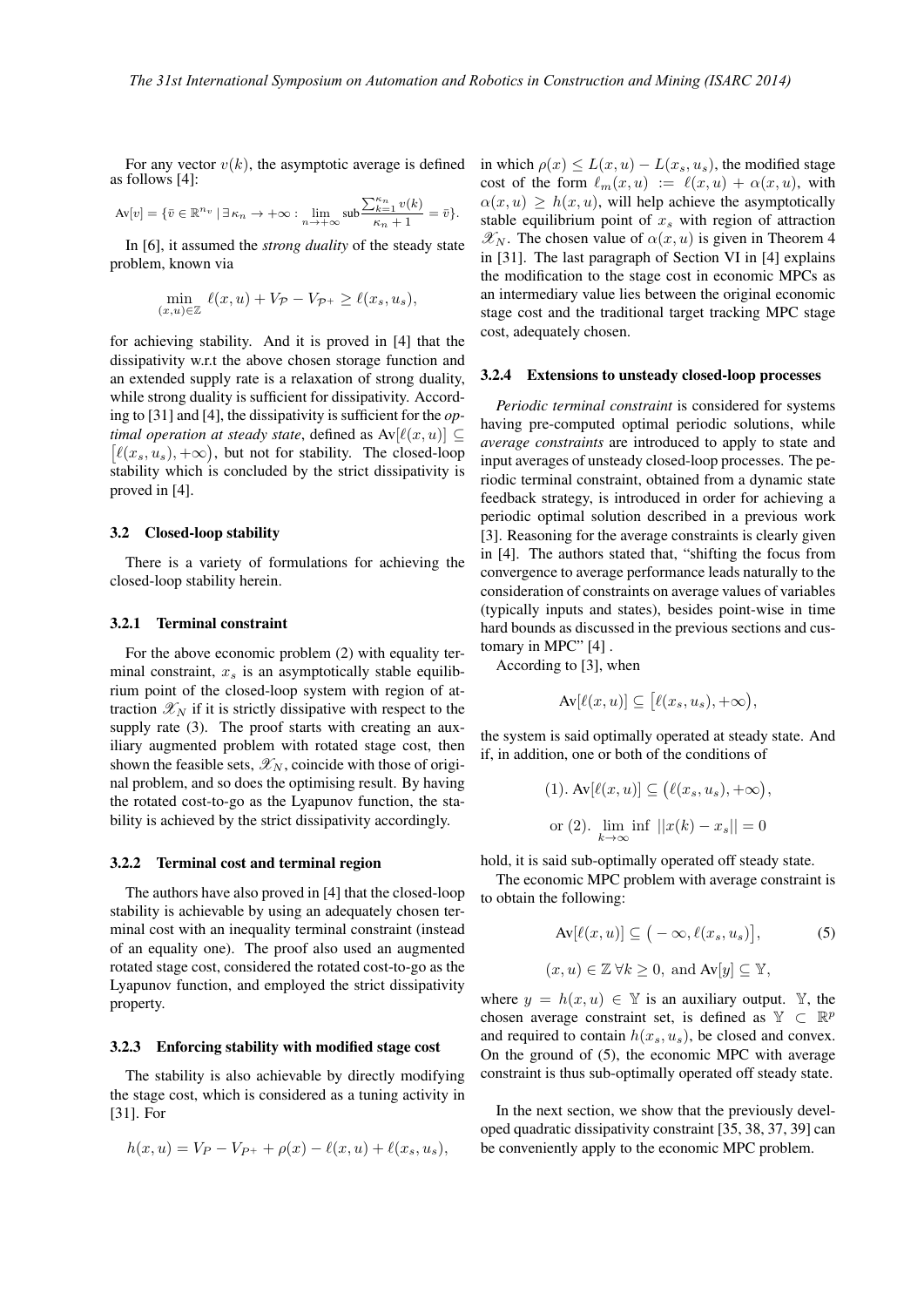For any vector  $v(k)$ , the asymptotic average is defined as follows [4]:

$$
\mathrm{Av}[v] = \{\bar{v} \in \mathbb{R}^{n_v} \, | \, \exists \, \kappa_n \to +\infty : \lim\limits_{n \to +\infty} \mathrm{sub}\frac{\sum_{k=1}^{\kappa_n} v(k)}{\kappa_n + 1} = \bar{v}\}.
$$

In [6], it assumed the *strong duality* of the steady state problem, known via

$$
\min_{(x,u)\in\mathbb{Z}} \ell(x,u) + V_{\mathcal{P}} - V_{\mathcal{P}^+} \ge \ell(x_s, u_s),
$$

for achieving stability. And it is proved in [4] that the dissipativity w.r.t the above chosen storage function and an extended supply rate is a relaxation of strong duality, while strong duality is sufficient for dissipativity. According to [31] and [4], the dissipativity is sufficient for the *optimal operation at steady state, defined as*  $Av[\ell(x, u)] \subseteq$  $[\ell(x_s, u_s), +\infty)$ , but not for stability. The closed-loop stability which is concluded by the strict dissipativity is proved in [4].

#### 3.2 Closed-loop stability

There is a variety of formulations for achieving the closed-loop stability herein.

#### 3.2.1 Terminal constraint

For the above economic problem (2) with equality terminal constraint,  $x_s$  is an asymptotically stable equilibrium point of the closed-loop system with region of attraction  $\mathscr{X}_N$  if it is strictly dissipative with respect to the supply rate (3). The proof starts with creating an auxiliary augmented problem with rotated stage cost, then shown the feasible sets,  $\mathscr{X}_N$ , coincide with those of original problem, and so does the optimising result. By having the rotated cost-to-go as the Lyapunov function, the stability is achieved by the strict dissipativity accordingly.

#### 3.2.2 Terminal cost and terminal region

The authors have also proved in [4] that the closed-loop stability is achievable by using an adequately chosen terminal cost with an inequality terminal constraint (instead of an equality one). The proof also used an augmented rotated stage cost, considered the rotated cost-to-go as the Lyapunov function, and employed the strict dissipativity property.

#### 3.2.3 Enforcing stability with modified stage cost

The stability is also achievable by directly modifying the stage cost, which is considered as a tuning activity in [31]. For

$$
h(x, u) = V_P - V_{P^+} + \rho(x) - \ell(x, u) + \ell(x_s, u_s),
$$

in which  $\rho(x) \leq L(x, u) - L(x_s, u_s)$ , the modified stage cost of the form  $\ell_m(x, u) := \ell(x, u) + \alpha(x, u)$ , with  $\alpha(x, u) \geq h(x, u)$ , will help achieve the asymptotically stable equilibrium point of *x<sup>s</sup>* with region of attraction  $\mathscr{X}_N$ . The chosen value of  $\alpha(x, u)$  is given in Theorem 4 in [31]. The last paragraph of Section VI in [4] explains the modification to the stage cost in economic MPCs as an intermediary value lies between the original economic stage cost and the traditional target tracking MPC stage cost, adequately chosen.

#### 3.2.4 Extensions to unsteady closed-loop processes

*Periodic terminal constraint* is considered for systems having pre-computed optimal periodic solutions, while *average constraints* are introduced to apply to state and input averages of unsteady closed-loop processes. The periodic terminal constraint, obtained from a dynamic state feedback strategy, is introduced in order for achieving a periodic optimal solution described in a previous work [3]. Reasoning for the average constraints is clearly given in [4]. The authors stated that, "shifting the focus from convergence to average performance leads naturally to the consideration of constraints on average values of variables (typically inputs and states), besides point-wise in time hard bounds as discussed in the previous sections and customary in MPC" [4] .

According to [3], when

$$
\operatorname{Av}[\ell(x, u)] \subseteq [\ell(x_s, u_s), +\infty),
$$

the system is said optimally operated at steady state. And if, in addition, one or both of the conditions of

(1). Av
$$
[\ell(x, u)] \subseteq (\ell(x_s, u_s), +\infty),
$$
  
or (2).  $\lim_{k \to \infty} \inf ||x(k) - x_s|| = 0$ 

hold, it is said sub-optimally operated off steady state.

The economic MPC problem with average constraint is to obtain the following:

$$
\text{Av}[\ell(x, u)] \subseteq (-\infty, \ell(x_s, u_s)], \tag{5}
$$
  

$$
(x, u) \in \mathbb{Z} \,\forall k \ge 0, \text{ and } \text{Av}[y] \subseteq \mathbb{Y},
$$

where  $y = h(x, u) \in Y$  is an auxiliary output. Y, the chosen average constraint set, is defined as  $\mathbb{Y} \subset \mathbb{R}^p$ and required to contain  $h(x_s, u_s)$ , be closed and convex. On the ground of (5), the economic MPC with average constraint is thus sub-optimally operated off steady state.

In the next section, we show that the previously developed quadratic dissipativity constraint [35, 38, 37, 39] can be conveniently apply to the economic MPC problem.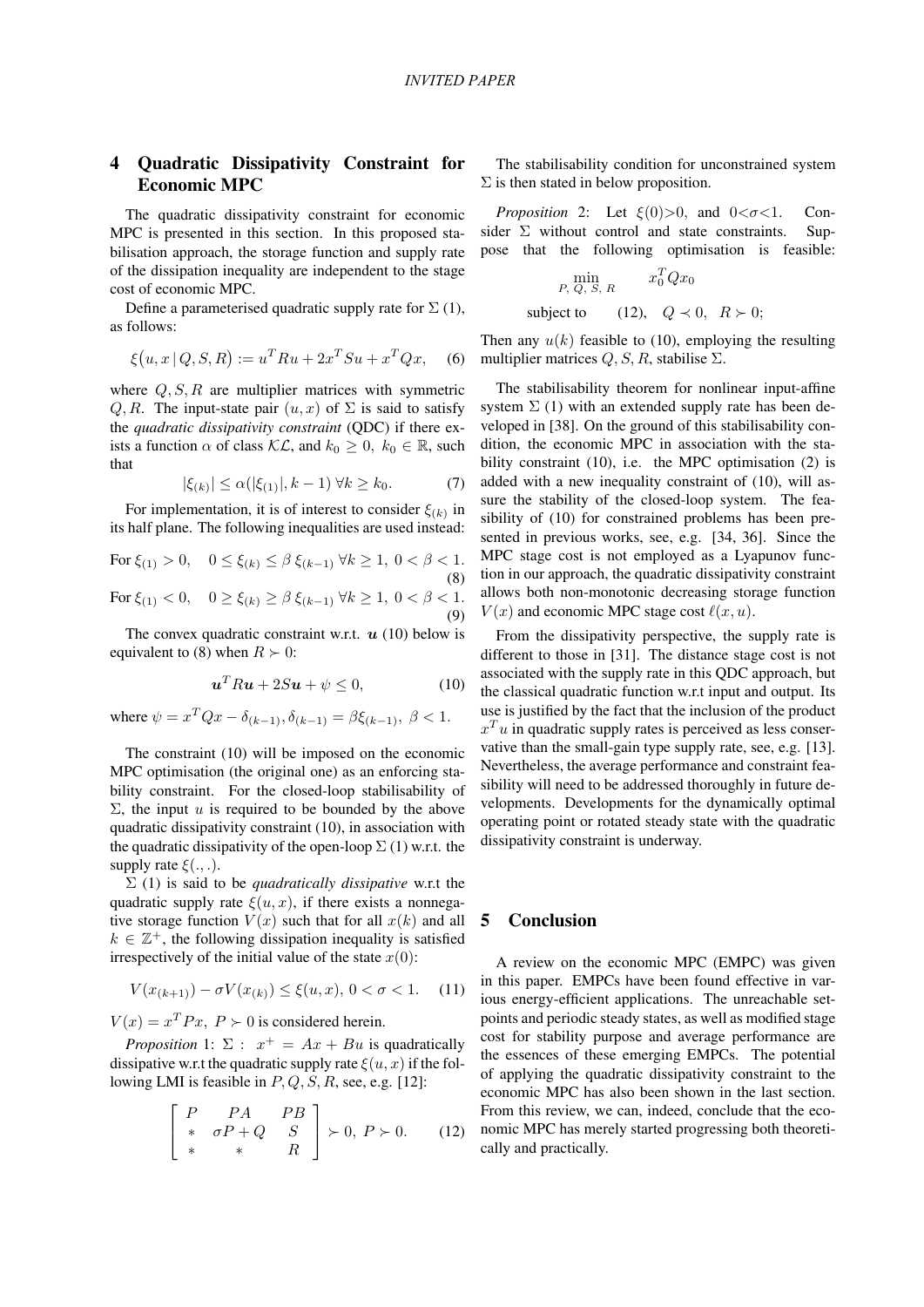# 4 Quadratic Dissipativity Constraint for Economic MPC

The quadratic dissipativity constraint for economic MPC is presented in this section. In this proposed stabilisation approach, the storage function and supply rate of the dissipation inequality are independent to the stage cost of economic MPC.

Define a parameterised quadratic supply rate for  $\Sigma(1)$ , as follows:

$$
\xi(u, x \,|\, Q, S, R) := u^T R u + 2x^T S u + x^T Q x,\tag{6}
$$

where *Q, S, R* are multiplier matrices with symmetric *Q, R.* The input-state pair  $(u, x)$  of  $\Sigma$  is said to satisfy the *quadratic dissipativity constraint* (QDC) if there exists a function  $\alpha$  of class  $\mathcal{KL}$ , and  $k_0 \geq 0$ ,  $k_0 \in \mathbb{R}$ , such that

$$
|\xi_{(k)}| \le \alpha(|\xi_{(1)}|, k-1) \,\forall k \ge k_0. \tag{7}
$$

For implementation, it is of interest to consider  $\xi_{(k)}$  in its half plane. The following inequalities are used instead:

For  $\xi_{(1)} > 0$ ,  $0 \le \xi_{(k)} \le \beta \xi_{(k-1)} \forall k \ge 1, 0 < \beta < 1$ . (8) For  $\xi_{(1)} < 0$ ,  $0 \ge \xi_{(k)} \ge \beta \xi_{(k-1)} \ \forall k \ge 1, \ 0 < \beta < 1.$ (9)

The convex quadratic constraint w.r.t. *u* (10) below is equivalent to (8) when  $R \succ 0$ :

$$
\mathbf{u}^T R \mathbf{u} + 2S \mathbf{u} + \psi \le 0,\tag{10}
$$

where  $\psi = x^T Q x - \delta_{(k-1)}, \delta_{(k-1)} = \beta \xi_{(k-1)}, \ \beta < 1.$ 

The constraint (10) will be imposed on the economic MPC optimisation (the original one) as an enforcing stability constraint. For the closed-loop stabilisability of  $\Sigma$ , the input *u* is required to be bounded by the above quadratic dissipativity constraint (10), in association with the quadratic dissipativity of the open-loop  $\Sigma(1)$  w.r.t. the supply rate *ξ*(*., .*).

Σ (1) is said to be *quadratically dissipative* w.r.t the quadratic supply rate  $\xi(u, x)$ , if there exists a nonnegative storage function  $V(x)$  such that for all  $x(k)$  and all  $k \in \mathbb{Z}^+$ , the following dissipation inequality is satisfied irrespectively of the initial value of the state  $x(0)$ :

$$
V(x_{(k+1)}) - \sigma V(x_{(k)}) \le \xi(u, x), \ 0 < \sigma < 1. \tag{11}
$$

 $V(x) = x^T P x$ ,  $P \succ 0$  is considered herein.

*Proposition* 1:  $\Sigma$  :  $x^+ = Ax + Bu$  is quadratically dissipative w.r.t the quadratic supply rate  $\xi(u, x)$  if the following LMI is feasible in *P, Q, S, R*, see, e.g. [12]:

$$
\begin{bmatrix} P & PA & PB \\ * & \sigma P + Q & S \\ * & * & R \end{bmatrix} \succ 0, P \succ 0.
$$
 (12)

The stabilisability condition for unconstrained system  $\Sigma$  is then stated in below proposition.

*Proposition* 2: Let  $\xi(0) > 0$ , and  $0 < \sigma < 1$ . Consider  $\Sigma$  without control and state constraints. Suppose that the following optimisation is feasible:

$$
\min_{P, Q, S, R} x_0^T Q x_0
$$
  
subject to (12),  $Q \prec 0, R \succ 0$ ;

Then any  $u(k)$  feasible to (10), employing the resulting multiplier matrices  $Q, S, R$ , stabilise  $\Sigma$ .

The stabilisability theorem for nonlinear input-affine system  $\Sigma$  (1) with an extended supply rate has been developed in [38]. On the ground of this stabilisability condition, the economic MPC in association with the stability constraint (10), i.e. the MPC optimisation (2) is added with a new inequality constraint of (10), will assure the stability of the closed-loop system. The feasibility of (10) for constrained problems has been presented in previous works, see, e.g. [34, 36]. Since the MPC stage cost is not employed as a Lyapunov function in our approach, the quadratic dissipativity constraint allows both non-monotonic decreasing storage function  $V(x)$  and economic MPC stage cost  $\ell(x, u)$ .

From the dissipativity perspective, the supply rate is different to those in [31]. The distance stage cost is not associated with the supply rate in this QDC approach, but the classical quadratic function w.r.t input and output. Its use is justified by the fact that the inclusion of the product  $x<sup>T</sup>u$  in quadratic supply rates is perceived as less conservative than the small-gain type supply rate, see, e.g. [13]. Nevertheless, the average performance and constraint feasibility will need to be addressed thoroughly in future developments. Developments for the dynamically optimal operating point or rotated steady state with the quadratic dissipativity constraint is underway.

### 5 Conclusion

A review on the economic MPC (EMPC) was given in this paper. EMPCs have been found effective in various energy-efficient applications. The unreachable setpoints and periodic steady states, as well as modified stage cost for stability purpose and average performance are the essences of these emerging EMPCs. The potential of applying the quadratic dissipativity constraint to the economic MPC has also been shown in the last section. From this review, we can, indeed, conclude that the economic MPC has merely started progressing both theoretically and practically.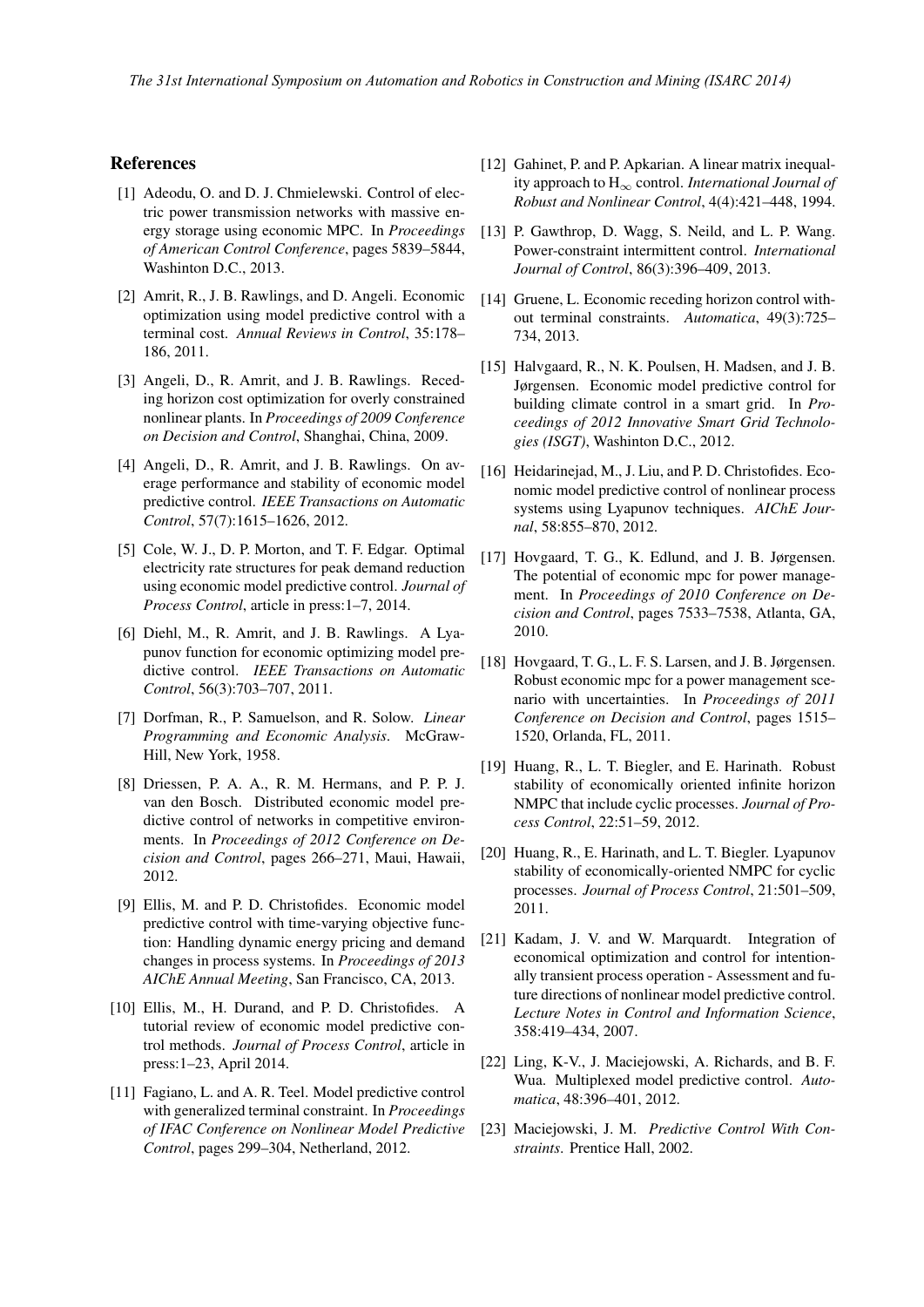### References

- [1] Adeodu, O. and D. J. Chmielewski. Control of electric power transmission networks with massive energy storage using economic MPC. In *Proceedings of American Control Conference*, pages 5839–5844, Washinton D.C., 2013.
- [2] Amrit, R., J. B. Rawlings, and D. Angeli. Economic optimization using model predictive control with a terminal cost. *Annual Reviews in Control*, 35:178– 186, 2011.
- [3] Angeli, D., R. Amrit, and J. B. Rawlings. Receding horizon cost optimization for overly constrained nonlinear plants. In *Proceedings of 2009 Conference on Decision and Control*, Shanghai, China, 2009.
- [4] Angeli, D., R. Amrit, and J. B. Rawlings. On average performance and stability of economic model predictive control. *IEEE Transactions on Automatic Control*, 57(7):1615–1626, 2012.
- [5] Cole, W. J., D. P. Morton, and T. F. Edgar. Optimal electricity rate structures for peak demand reduction using economic model predictive control. *Journal of Process Control*, article in press:1–7, 2014.
- [6] Diehl, M., R. Amrit, and J. B. Rawlings. A Lyapunov function for economic optimizing model predictive control. *IEEE Transactions on Automatic Control*, 56(3):703–707, 2011.
- [7] Dorfman, R., P. Samuelson, and R. Solow. *Linear Programming and Economic Analysis*. McGraw-Hill, New York, 1958.
- [8] Driessen, P. A. A., R. M. Hermans, and P. P. J. van den Bosch. Distributed economic model predictive control of networks in competitive environments. In *Proceedings of 2012 Conference on Decision and Control*, pages 266–271, Maui, Hawaii, 2012.
- [9] Ellis, M. and P. D. Christofides. Economic model predictive control with time-varying objective function: Handling dynamic energy pricing and demand changes in process systems. In *Proceedings of 2013 AIChE Annual Meeting*, San Francisco, CA, 2013.
- [10] Ellis, M., H. Durand, and P. D. Christofides. A tutorial review of economic model predictive control methods. *Journal of Process Control*, article in press:1–23, April 2014.
- [11] Fagiano, L. and A. R. Teel. Model predictive control with generalized terminal constraint. In *Proceedings of IFAC Conference on Nonlinear Model Predictive Control*, pages 299–304, Netherland, 2012.
- [12] Gahinet, P. and P. Apkarian. A linear matrix inequality approach to H*<sup>∞</sup>* control. *International Journal of Robust and Nonlinear Control*, 4(4):421–448, 1994.
- [13] P. Gawthrop, D. Wagg, S. Neild, and L. P. Wang. Power-constraint intermittent control. *International Journal of Control*, 86(3):396–409, 2013.
- [14] Gruene, L. Economic receding horizon control without terminal constraints. *Automatica*, 49(3):725– 734, 2013.
- [15] Halvgaard, R., N. K. Poulsen, H. Madsen, and J. B. Jørgensen. Economic model predictive control for building climate control in a smart grid. In *Proceedings of 2012 Innovative Smart Grid Technologies (ISGT)*, Washinton D.C., 2012.
- [16] Heidarinejad, M., J. Liu, and P. D. Christofides. Economic model predictive control of nonlinear process systems using Lyapunov techniques. *AIChE Journal*, 58:855–870, 2012.
- [17] Hovgaard, T. G., K. Edlund, and J. B. Jørgensen. The potential of economic mpc for power management. In *Proceedings of 2010 Conference on Decision and Control*, pages 7533–7538, Atlanta, GA, 2010.
- [18] Hovgaard, T. G., L. F. S. Larsen, and J. B. Jørgensen. Robust economic mpc for a power management scenario with uncertainties. In *Proceedings of 2011 Conference on Decision and Control*, pages 1515– 1520, Orlanda, FL, 2011.
- [19] Huang, R., L. T. Biegler, and E. Harinath. Robust stability of economically oriented infinite horizon NMPC that include cyclic processes. *Journal of Process Control*, 22:51–59, 2012.
- [20] Huang, R., E. Harinath, and L. T. Biegler. Lyapunov stability of economically-oriented NMPC for cyclic processes. *Journal of Process Control*, 21:501–509, 2011.
- [21] Kadam, J. V. and W. Marquardt. Integration of economical optimization and control for intentionally transient process operation - Assessment and future directions of nonlinear model predictive control. *Lecture Notes in Control and Information Science*, 358:419–434, 2007.
- [22] Ling, K-V., J. Maciejowski, A. Richards, and B. F. Wua. Multiplexed model predictive control. *Automatica*, 48:396–401, 2012.
- [23] Maciejowski, J. M. *Predictive Control With Constraints*. Prentice Hall, 2002.